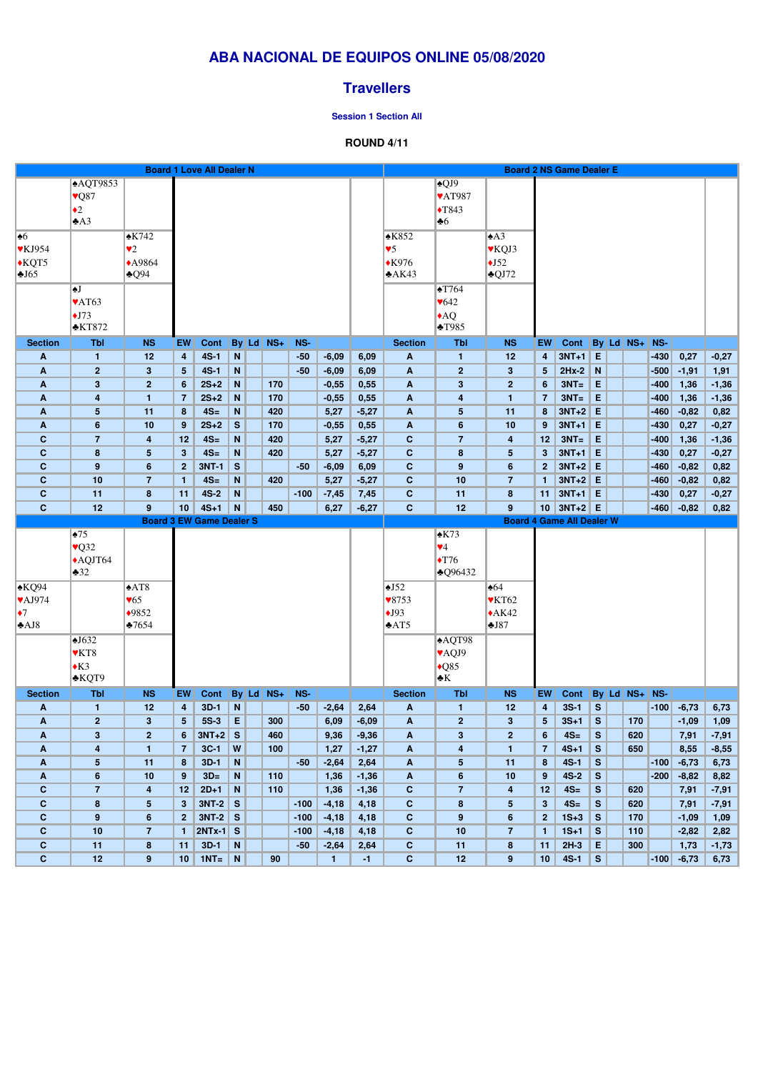|                              |                             |                  |                 | <b>Board 1 Love All Dealer N</b> |             |               |        |         |         |                           |                           |                           |                         | <b>Board 2 NS Game Dealer E</b>  |           |               |                      |         |         |
|------------------------------|-----------------------------|------------------|-----------------|----------------------------------|-------------|---------------|--------|---------|---------|---------------------------|---------------------------|---------------------------|-------------------------|----------------------------------|-----------|---------------|----------------------|---------|---------|
|                              | $\overline{\text{AQT9853}}$ |                  |                 |                                  |             |               |        |         |         |                           | $\triangle$ QJ9           |                           |                         |                                  |           |               |                      |         |         |
|                              | $\vee$ Q87                  |                  |                 |                                  |             |               |        |         |         |                           | <b>VAT987</b>             |                           |                         |                                  |           |               |                      |         |         |
|                              | $\triangleleft 2$           |                  |                 |                                  |             |               |        |         |         |                           | $\blacklozenge$ T843      |                           |                         |                                  |           |               |                      |         |         |
|                              | A3                          |                  |                 |                                  |             |               |        |         |         |                           | $\clubsuit 6$             |                           |                         |                                  |           |               |                      |         |         |
| $\overline{\bullet 6}$       |                             | $\triangle$ K742 |                 |                                  |             |               |        |         |         | $\triangle$ K852          |                           | $\triangle$ A3            |                         |                                  |           |               |                      |         |         |
|                              |                             |                  |                 |                                  |             |               |        |         |         |                           |                           |                           |                         |                                  |           |               |                      |         |         |
| $\blacktriangledown$ KJ954   |                             | $\bullet 2$      |                 |                                  |             |               |        |         |         | $\triangledown$           |                           | <b>▼KQJ3</b>              |                         |                                  |           |               |                      |         |         |
| $\bigstar$ KQT5              |                             | ◆A9864           |                 |                                  |             |               |        |         |         | $*K976$                   |                           | $\triangle$ J52           |                         |                                  |           |               |                      |         |         |
| $\triangle$ J65              |                             | $\triangle Q94$  |                 |                                  |             |               |        |         |         | A K43                     |                           | $\triangle$ QJ72          |                         |                                  |           |               |                      |         |         |
|                              | I∲]                         |                  |                 |                                  |             |               |        |         |         |                           | $\triangle$ T764          |                           |                         |                                  |           |               |                      |         |         |
|                              | $\blacktriangleright$ AT63  |                  |                 |                                  |             |               |        |         |         |                           | $\blacktriangledown 642$  |                           |                         |                                  |           |               |                      |         |         |
|                              | $\overline{\bullet}$ J73    |                  |                 |                                  |             |               |        |         |         |                           | AQ                        |                           |                         |                                  |           |               |                      |         |         |
|                              | $\triangle$ KT872           |                  |                 |                                  |             |               |        |         |         |                           | $\triangle$ T985          |                           |                         |                                  |           |               |                      |         |         |
|                              |                             |                  |                 |                                  |             |               |        |         |         |                           |                           |                           |                         |                                  |           |               |                      |         |         |
| <b>Section</b>               | <b>Tbl</b>                  | <b>NS</b>        | <b>EW</b>       | Cont                             |             | By Ld NS+     | NS-    |         |         | <b>Section</b>            | <b>Tbl</b>                | <b>NS</b>                 | <b>EW</b>               | <b>Cont</b>                      |           | By Ld NS+ NS- |                      |         |         |
| A                            | $\mathbf{1}$                | 12               | 4               | $4S-1$                           | N           |               | $-50$  | $-6,09$ | 6,09    | A                         | $\mathbf{1}$              | 12                        | $\overline{\mathbf{4}}$ | $3NT+1$                          | E         |               | $-430$               | 0,27    | $-0,27$ |
| A                            | $\mathbf{2}$                | $3\phantom{a}$   | 5               | $4S-1$                           | N           |               | $-50$  | $-6,09$ | 6,09    | A                         | $\mathbf{2}$              | $\mathbf{3}$              | 5 <sup>5</sup>          | $2Hx-2$                          | N         |               | $-500$               | $-1,91$ | 1,91    |
| A                            | $\mathbf{3}$                | $\overline{2}$   | $6\phantom{1}6$ | $2S+2$                           | $\mathbf N$ | 170           |        | $-0,55$ | 0,55    | A                         | $\mathbf{3}$              | $\overline{2}$            | 6                       | $3NT=$                           | E         |               | $-400$               | 1,36    | $-1,36$ |
| A                            | $\overline{\mathbf{4}}$     | $\mathbf{1}$     | $\overline{7}$  | $2S+2$                           | $\mathbf N$ | 170           |        | $-0,55$ | 0,55    | A                         | 4                         | 1                         | $\overline{7}$          | $3NT =$                          | E         |               | $-400$               | 1,36    | $-1,36$ |
| A                            | 5                           | 11               | 8               | $4S=$                            | N           | 420           |        | 5,27    | $-5,27$ | A                         | $\overline{\mathbf{5}}$   | 11                        | 8                       | $3NT+2$ E                        |           |               | $-460$               | $-0,82$ | 0,82    |
| A                            | $6\phantom{1}$              | 10               | 9               | $2S+2$                           | S           | 170           |        | $-0,55$ | 0,55    | A                         | 6                         | 10                        | 9                       | $3NT+1$ E                        |           |               | $-430$               | 0,27    | $-0,27$ |
| $\mathbf C$                  | $\overline{7}$              | 4                | 12              | $4S=$                            | N           | 420           |        | 5,27    | $-5,27$ | $\mathbf{C}$              | $\overline{7}$            | 4                         | 12                      | $3NT =$                          | E         |               | $-400$               | 1,36    | $-1,36$ |
| $\mathbf c$                  | 8                           | 5                | $\mathbf{3}$    | $4S=$                            | N           | 420           |        | 5,27    | $-5,27$ | $\mathbf{C}$              | 8                         | 5                         | 3 <sup>2</sup>          | $3NT+1$ E                        |           |               | $-430$               | 0,27    | $-0,27$ |
| $\mathbf c$                  | 9                           | 6                | $\mathbf{2}$    | <b>3NT-1</b>                     | S           |               | $-50$  | $-6,09$ | 6,09    | $\mathbf{C}$              | 9                         | 6                         | 2 <sup>1</sup>          | $3NT+2$ E                        |           |               | $-460$               | $-0,82$ | 0,82    |
| $\mathbf{C}$                 | 10                          | $\overline{7}$   | $\mathbf{1}$    | $4S=$                            | $\mathbf N$ | 420           |        | 5,27    | $-5,27$ | $\mathbf{C}$              | 10                        | $\overline{7}$            | $\mathbf{1}$            | $3NT+2$ E                        |           |               | $-460$               | $-0,82$ | 0,82    |
| $\mathbf{C}$                 | 11                          | 8                | 11              | $4S-2$                           | N           |               | $-100$ | $-7,45$ | 7,45    | $\mathbf{C}$              | 11                        | 8                         | 11                      | $3NT+1$ E                        |           |               | $-430$               | 0,27    | $-0,27$ |
| $\mathbf{C}$                 | 12                          | 9                | 10              | $4S+1$                           | N           | 450           |        | 6,27    | $-6,27$ | $\mathbf{C}$              | 12                        | 9                         |                         | $10$ 3NT+2 E                     |           |               | $-460$               | $-0,82$ | 0,82    |
|                              |                             |                  |                 | <b>Board 3 EW Game Dealer S</b>  |             |               |        |         |         |                           |                           |                           |                         | <b>Board 4 Game All Dealer W</b> |           |               |                      |         |         |
|                              | $\frac{1}{2}$ 75            |                  |                 |                                  |             |               |        |         |         |                           | $\triangle$ K73           |                           |                         |                                  |           |               |                      |         |         |
|                              | $\sqrt{Q}32$                |                  |                 |                                  |             |               |        |         |         |                           | $\Psi$ 4                  |                           |                         |                                  |           |               |                      |         |         |
|                              | $\triangle$ AQJT64          |                  |                 |                                  |             |               |        |         |         |                           | $\blacktriangleright$ T76 |                           |                         |                                  |           |               |                      |         |         |
|                              | $\clubsuit 32$              |                  |                 |                                  |             |               |        |         |         |                           | $\triangle$ Q96432        |                           |                         |                                  |           |               |                      |         |         |
| $\overline{\triangle KQ}$ 94 |                             | $\triangle AT8$  |                 |                                  |             |               |        |         |         | $\triangle$ J52           |                           | $\triangle 64$            |                         |                                  |           |               |                      |         |         |
| $\blacktriangleright$ AJ974  |                             | $\sqrt{65}$      |                 |                                  |             |               |        |         |         | $\blacktriangledown$ 8753 |                           | $\blacktriangledown$ KT62 |                         |                                  |           |               |                      |         |         |
|                              |                             |                  |                 |                                  |             |               |        |         |         |                           |                           |                           |                         |                                  |           |               |                      |         |         |
| $\bullet$ 7                  |                             | $*9852$          |                 |                                  |             |               |        |         |         | $\bigstar$ J93            |                           | $+AK42$                   |                         |                                  |           |               |                      |         |         |
| $\triangle$ AJ8              |                             | $\bigstar 7654$  |                 |                                  |             |               |        |         |         | $\triangle AT5$           |                           | $\triangle$ J87           |                         |                                  |           |               |                      |         |         |
|                              | $\triangle$ J632            |                  |                 |                                  |             |               |        |         |         |                           | <b>AQT98</b>              |                           |                         |                                  |           |               |                      |         |         |
|                              | <b>♥KT8</b>                 |                  |                 |                                  |             |               |        |         |         |                           | VAQJ9                     |                           |                         |                                  |           |               |                      |         |         |
|                              | $\star$ K3                  |                  |                 |                                  |             |               |        |         |         |                           | $\triangle$ Q85           |                           |                         |                                  |           |               |                      |         |         |
|                              | *KQT9                       |                  |                 |                                  |             |               |        |         |         |                           | $\bullet$ K               |                           |                         |                                  |           |               |                      |         |         |
| <b>Section</b>               | <b>Tbl</b>                  | <b>NS</b>        | EW              | Cont                             |             | $By$ Ld $NS+$ | NS-    |         |         | <b>Section</b>            | <b>Tbl</b>                | <b>NS</b>                 | <b>EW</b>               | <b>Cont</b>                      |           | By Ld NS+ NS- |                      |         |         |
| A                            | $\mathbf{1}$                | 12               | 4               | $3D-1$                           | N           |               | $-50$  | $-2,64$ | 2,64    | A                         | $\mathbf{1}$              | 12                        | $\overline{\mathbf{4}}$ | $3S-1$                           | S         |               | $\vert$ -100 $\vert$ | $-6,73$ | 6,73    |
| A                            | 2 <sub>2</sub>              | $\mathbf{3}$     | 5               | $5S-3$                           | E           | 300           |        | 6,09    | $-6,09$ | $\mathbf{A}$              | $\overline{2}$            | $\mathbf{3}$              | 5 <sup>5</sup>          | $3S+1$                           | S         | 170           |                      | $-1,09$ | 1,09    |
| A                            | $\mathbf{3}$                | $\overline{2}$   | 6               | $3NT+2$                          | S           | 460           |        | 9,36    | $-9,36$ | A                         | $\mathbf{3}$              | $\overline{2}$            | $6\phantom{1}$          | $4S=$                            | ${\bf S}$ | 620           |                      | 7,91    | $-7,91$ |
| A                            | $\overline{\mathbf{4}}$     | $\mathbf{1}$     | $\overline{7}$  | $3C-1$                           | W           | 100           |        | 1,27    | $-1,27$ | $\mathbf{A}$              | $\overline{\mathbf{4}}$   | $\mathbf{1}$              | 7 <sup>7</sup>          | $4S+1$                           | S         | 650           |                      | 8,55    | $-8,55$ |
| A                            | $\sqrt{5}$                  | 11               | 8               | $3D-1$                           | $\mathbf N$ |               | $-50$  | $-2,64$ | 2,64    | A                         | $5\phantom{.0}$           | 11                        | 8                       | $4S-1$                           | S         |               | $-100$               | $-6,73$ | 6,73    |
| A                            | $6\phantom{1}$              | 10               | 9               | $3D=$                            | $\mathbf N$ | 110           |        | 1,36    | $-1,36$ | A                         | $\boldsymbol{6}$          | 10                        | 9                       | $4S-2$                           | S         |               | $-200$               | $-8,82$ | 8,82    |
| $\mathbf c$                  | $\overline{7}$              | 4                | 12              | $2D+1$                           | $\mathbf N$ | 110           |        | 1,36    | $-1,36$ | $\mathbf{C}$              | $\overline{7}$            | $\overline{\mathbf{4}}$   | 12                      | $4S=$                            | S         | 620           |                      | 7,91    | $-7,91$ |
| $\mathbf C$                  | $\bf8$                      | 5 <sup>5</sup>   | 3 <sup>5</sup>  | $3NT-2$ S                        |             |               | $-100$ | $-4,18$ | 4,18    | $\mathbf{C}$              | $\pmb{8}$                 | $5\phantom{.0}$           | 3 <sup>1</sup>          | $4S=$                            | S         | 620           |                      | 7,91    | $-7,91$ |

|    | $\mathbf{2}$    | $3NT-2$      | S. |    | $-100$ | $-4,18$ | 4,18 |    | $\mathbf{2}$    | $1S+3$ | <sub>S</sub> | 170 |        | $-1,09$ | 1,09    |
|----|-----------------|--------------|----|----|--------|---------|------|----|-----------------|--------|--------------|-----|--------|---------|---------|
| 10 |                 | $ 2NTx-1 S $ |    |    | $-100$ | $-4,18$ | 4,18 | 10 |                 | $1S+1$ | <sub>S</sub> | 110 |        | $-2,82$ | 2,82    |
|    | 11              | $3D-1$       | N  |    | $-50$  | $-2,64$ | 2,64 |    | 11              | $2H-3$ | E.           | 300 |        | 1,73    | $-1,73$ |
|    | 10 <sup>°</sup> | $1NT =$      | N  | 90 |        |         |      | 12 | 10 <sub>1</sub> | $4S-1$ | $\mathsf{S}$ |     | $-100$ | $-6,73$ | 6,73    |

# **ABA NACIONAL DE EQUIPOS ONLINE 05/08/2020**

## **Travellers**

#### **Session 1 Section All**

### **ROUND 4/11**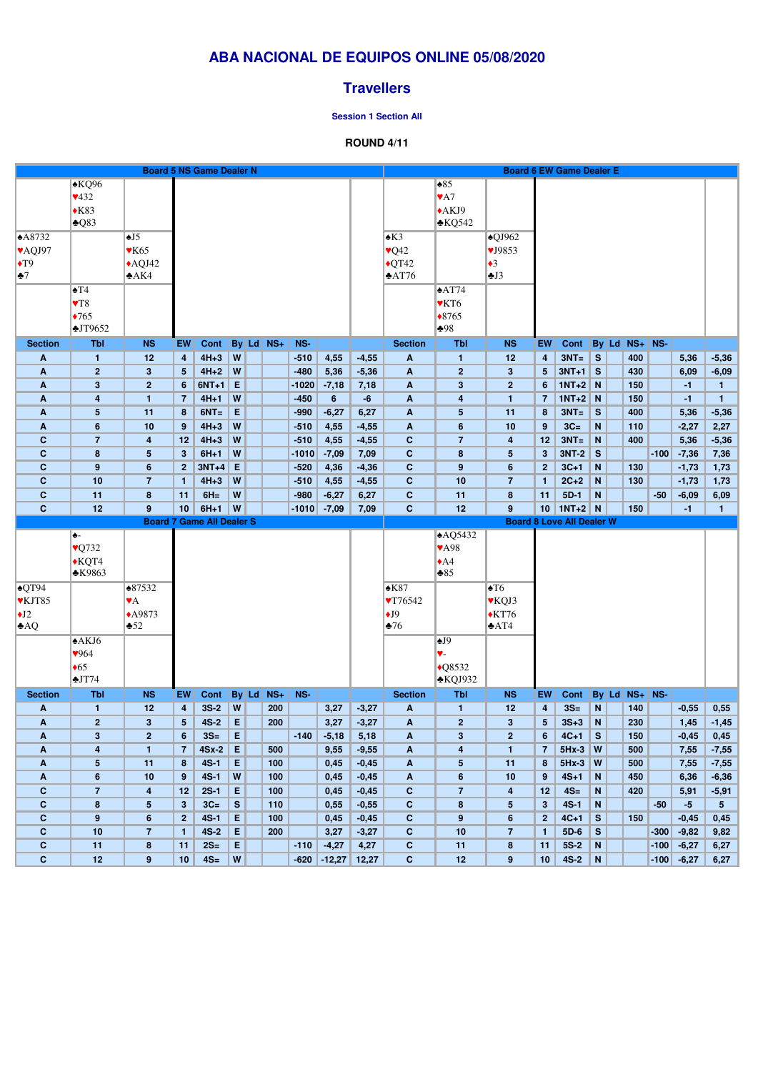# **ABA NACIONAL DE EQUIPOS ONLINE 05/08/2020**

## **Travellers**

#### **Session 1 Section All**

### **ROUND 4/11**

|                          |                                   |                          |                         | <b>Board 5 NS Game Dealer N</b>  |              |           |         |                    |                    |                            |                                         |                      |                         | <b>Board 6 EW Game Dealer E</b>  |                |         |                   |        |                 |                      |
|--------------------------|-----------------------------------|--------------------------|-------------------------|----------------------------------|--------------|-----------|---------|--------------------|--------------------|----------------------------|-----------------------------------------|----------------------|-------------------------|----------------------------------|----------------|---------|-------------------|--------|-----------------|----------------------|
|                          | $*KQ96$                           |                          |                         |                                  |              |           |         |                    |                    |                            | $\triangle 85$                          |                      |                         |                                  |                |         |                   |        |                 |                      |
|                          | 432                               |                          |                         |                                  |              |           |         |                    |                    |                            | $\blacktriangledown$ A7                 |                      |                         |                                  |                |         |                   |        |                 |                      |
|                          | $*K83$                            |                          |                         |                                  |              |           |         |                    |                    |                            | $*AKJ9$                                 |                      |                         |                                  |                |         |                   |        |                 |                      |
|                          | $\triangle$ Q83                   |                          |                         |                                  |              |           |         |                    |                    |                            | $\triangle$ KQ542                       |                      |                         |                                  |                |         |                   |        |                 |                      |
|                          |                                   |                          |                         |                                  |              |           |         |                    |                    |                            |                                         |                      |                         |                                  |                |         |                   |        |                 |                      |
| A8732                    |                                   | $\triangle$ J5           |                         |                                  |              |           |         |                    |                    | $\triangle$ K3             |                                         | $\triangle$ QJ962    |                         |                                  |                |         |                   |        |                 |                      |
| <b>VAQJ97</b>            |                                   | $\blacktriangledown$ K65 |                         |                                  |              |           |         |                    |                    | $\sqrt{Q42}$               |                                         | VJ9853               |                         |                                  |                |         |                   |        |                 |                      |
| $\blacktriangleright$ T9 |                                   | $\triangle$ AQJ42        |                         |                                  |              |           |         |                    |                    | $\blacklozenge$ QT42       |                                         | $\triangleleft$ 3    |                         |                                  |                |         |                   |        |                 |                      |
| $\bullet$ 7              |                                   | A K4                     |                         |                                  |              |           |         |                    |                    | $\triangle$ AT76           |                                         | J3                   |                         |                                  |                |         |                   |        |                 |                      |
|                          | $\blacktriangle T4$               |                          |                         |                                  |              |           |         |                    |                    |                            | $\triangle$ AT74                        |                      |                         |                                  |                |         |                   |        |                 |                      |
|                          |                                   |                          |                         |                                  |              |           |         |                    |                    |                            |                                         |                      |                         |                                  |                |         |                   |        |                 |                      |
|                          | $\blacktriangledown$ <sub>8</sub> |                          |                         |                                  |              |           |         |                    |                    |                            | ♥KT6                                    |                      |                         |                                  |                |         |                   |        |                 |                      |
|                          | $*765$                            |                          |                         |                                  |              |           |         |                    |                    |                            | $*8765$                                 |                      |                         |                                  |                |         |                   |        |                 |                      |
|                          | JT9652                            |                          |                         |                                  |              |           |         |                    |                    |                            | $*98$                                   |                      |                         |                                  |                |         |                   |        |                 |                      |
| <b>Section</b>           | <b>Tbl</b>                        | <b>NS</b>                | EW                      | Cont                             |              | By Ld NS+ | NS-     |                    |                    | <b>Section</b>             | <b>Tbl</b>                              | <b>NS</b>            | <b>EW</b>               | <b>Cont</b>                      |                | $By$ Ld | $NS+$ NS-         |        |                 |                      |
| A                        | $\mathbf{1}$                      | 12                       | $\boldsymbol{4}$        | $4H+3$                           | W            |           | $-510$  | 4,55               | $-4,55$            | A                          | $\mathbf{1}$                            | 12                   | $\overline{\mathbf{4}}$ | $3NT =$                          | $\mathbf{s}$   |         | 400               |        | 5,36            | $-5,36$              |
| A                        | $\overline{2}$                    | $\mathbf{3}$             | 5                       | $4H+2$                           | W            |           | $-480$  | 5,36               | $-5,36$            | A                          | $\overline{2}$                          | 3                    | 5 <sub>5</sub>          | $3NT+1$                          | $\mathsf{S}$   |         | 430               |        | 6,09            | $-6,09$              |
| A                        | $3\phantom{a}$                    | $\mathbf{2}$             | 6                       | $6NT+1$                          | E            |           | $-1020$ | $-7,18$            | 7,18               | A                          | $\mathbf{3}$                            | $\mathbf{2}$         | 6                       | $1NT+2$                          | $\overline{N}$ |         | 150               |        | $-1$            | $\mathbf{1}$         |
| A                        | $\overline{\mathbf{r}}$           | $\mathbf{1}$             | $\overline{7}$          | $4H+1$                           | W            |           | $-450$  | $6\phantom{a}$     | $-6$               | A                          | $\overline{\mathbf{4}}$                 | 1                    | $\overline{7}$          | $1NT+2$ N                        |                |         | 150               |        | $-1$            | $\mathbf{1}$         |
| A                        | $5\phantom{.0}$                   | 11                       | 8                       | $6NT =$                          | E            |           | $-990$  | $-6,27$            | 6,27               | A                          | $5\phantom{.0}$                         | 11                   | 8                       | $3NT =$                          | $\mathbf{s}$   |         | 400               |        | 5,36            | $-5,36$              |
| $\boldsymbol{A}$         | $6\phantom{1}6$                   | 10                       | 9                       | $4H+3$                           | W            |           | $-510$  | 4,55               | $-4,55$            | A                          | $6\phantom{1}$                          | 10                   | 9                       | $3C=$                            | $\mathbf N$    |         | 110               |        | $-2,27$         | 2,27                 |
| $\mathbf c$              | $\overline{7}$                    | 4                        | 12                      | $4H+3$                           | W            |           | $-510$  | 4,55               | $-4,55$            | $\mathbf C$                | $\overline{7}$                          | 4                    | 12                      | $3NT =$                          | N              |         | 400               |        | 5,36            | $-5,36$              |
| $\mathbf c$              | 8                                 | 5                        | $\overline{\mathbf{3}}$ | $6H+1$                           | W            |           | $-1010$ | $-7,09$            | 7,09               | $\mathbf C$                | $\pmb{8}$                               | $5\phantom{.0}$      | 3 <sup>5</sup>          | $3NT-2$                          | $\mathbf{s}$   |         |                   | $-100$ | $-7,36$         | 7,36                 |
| $\mathbf c$              | 9                                 | 6                        | $\mathbf{2}$            | $3NT+4$                          | E            |           | $-520$  | 4,36               | $-4,36$            | $\mathbf C$                | 9                                       | 6                    | 2 <sup>2</sup>          | $3C+1$                           | N              |         | 130               |        | $-1,73$         | 1,73                 |
| $\mathbf C$              | 10                                | $\overline{7}$           | $\mathbf{1}$            | $4H+3$                           | W            |           | $-510$  |                    | $-4,55$            | $\mathbf C$                | 10                                      | $\overline{7}$       | $\mathbf{1}$            | $2C+2$                           | N              |         | 130               |        |                 |                      |
| $\mathbf C$              | 11                                |                          |                         | $6H =$                           | W            |           | $-980$  | 4,55               |                    | $\mathbf C$                |                                         | 8                    | 11                      | $5D-1$                           | N              |         |                   | $-50$  | $-1,73$         | 1,73                 |
| $\mathbf C$              | 12                                | 8<br>9                   | 11<br>10                | $6H+1$                           | W            |           | $-1010$ | $-6,27$<br>$-7,09$ | 6,27<br>7,09       | $\mathbf{C}$               | 11<br>12                                | 9                    | 10                      | $1NT+2$ N                        |                |         | 150               |        | $-6,09$<br>$-1$ | 6,09<br>$\mathbf{1}$ |
|                          |                                   |                          |                         | <b>Board 7 Game All Dealer S</b> |              |           |         |                    |                    |                            |                                         |                      |                         | <b>Board 8 Love All Dealer W</b> |                |         |                   |        |                 |                      |
|                          |                                   |                          |                         |                                  |              |           |         |                    |                    |                            |                                         |                      |                         |                                  |                |         |                   |        |                 |                      |
|                          | ♠-                                |                          |                         |                                  |              |           |         |                    |                    |                            | AQ5432                                  |                      |                         |                                  |                |         |                   |        |                 |                      |
|                          | $\sqrt{Q}$ 732                    |                          |                         |                                  |              |           |         |                    |                    |                            | <b>VA98</b>                             |                      |                         |                                  |                |         |                   |        |                 |                      |
|                          | $\bigwedge$ KQT4                  |                          |                         |                                  |              |           |         |                    |                    |                            | $\triangle$ A4                          |                      |                         |                                  |                |         |                   |        |                 |                      |
|                          | <b>*K9863</b>                     |                          |                         |                                  |              |           |         |                    |                    |                            | $*85$                                   |                      |                         |                                  |                |         |                   |        |                 |                      |
| $\sqrt{QT94}$            |                                   | $*87532$                 |                         |                                  |              |           |         |                    |                    | $*K87$                     |                                         | $\blacktriangle$ T6  |                         |                                  |                |         |                   |        |                 |                      |
| <b>VKJT85</b>            |                                   | $\blacktriangledown$ A   |                         |                                  |              |           |         |                    |                    | $\blacktriangledown$ 76542 |                                         | <b>▼KQJ3</b>         |                         |                                  |                |         |                   |        |                 |                      |
|                          |                                   |                          |                         |                                  |              |           |         |                    |                    |                            |                                         |                      |                         |                                  |                |         |                   |        |                 |                      |
| $\bigcup$                |                                   | ◆A9873                   |                         |                                  |              |           |         |                    |                    | $\bigstar$ J9              |                                         | $\blacklozenge$ KT76 |                         |                                  |                |         |                   |        |                 |                      |
| AQ                       |                                   | $\clubsuit 52$           |                         |                                  |              |           |         |                    |                    | $\blacktriangleright$ 76   |                                         | $\triangle$ AT4      |                         |                                  |                |         |                   |        |                 |                      |
|                          | A KJ6                             |                          |                         |                                  |              |           |         |                    |                    |                            | $\triangle$ J9                          |                      |                         |                                  |                |         |                   |        |                 |                      |
|                          | 964                               |                          |                         |                                  |              |           |         |                    |                    |                            | ♥-                                      |                      |                         |                                  |                |         |                   |        |                 |                      |
|                          | $\triangle 65$                    |                          |                         |                                  |              |           |         |                    |                    |                            | $\triangle$ Q8532                       |                      |                         |                                  |                |         |                   |        |                 |                      |
|                          | JT74                              |                          |                         |                                  |              |           |         |                    |                    |                            | $\triangle KQJ932$                      |                      |                         |                                  |                |         |                   |        |                 |                      |
| <b>Section</b>           | <b>Tbl</b>                        | <b>NS</b>                | EW                      | Cont                             |              | By Ld NS+ | NS-     |                    |                    | <b>Section</b>             | <b>Tbl</b>                              | <b>NS</b>            | <b>EW</b>               | <b>Cont</b>                      |                |         | $By$ Ld $NS+$ NS- |        |                 |                      |
|                          |                                   | 12                       | $\overline{\mathbf{4}}$ | $3S-2$                           | $\mathsf{W}$ | 200       |         | 3,27               |                    |                            |                                         | 12                   | $\overline{\mathbf{4}}$ | $3S=$                            | ${\bf N}$      |         | 140               |        | $-0,55$         | 0,55                 |
| A<br>A                   | $\mathbf{1}$<br>2 <sup>2</sup>    | 3 <sup>5</sup>           | 5                       | $4S-2$                           | Е            | 200       |         | 3,27               | $-3,27$<br>$-3,27$ | $\mathbf{A}$<br>A          | $\mathbf{1}$<br>$\overline{2}$          | $3\phantom{a}$       | 5 <sub>5</sub>          | $3S+3$                           | N              |         | 230               |        | 1,45            | $-1,45$              |
|                          | 3 <sup>2</sup>                    | $\overline{2}$           | 6                       | $3S=$                            |              |           | $-140$  |                    |                    |                            |                                         | 2 <sub>2</sub>       | $6\phantom{1}$          | $4C+1$                           | $\mathbf{s}$   |         | 150               |        |                 |                      |
| $\mathbf{A}$             | $\overline{\mathbf{4}}$           | $\mathbf{1}$             | $\overline{7}$          | $4Sx-2$                          | Е<br>E       | 500       |         | $-5,18$<br>9,55    | 5,18<br>$-9,55$    | A<br>A                     | $\mathbf{3}$<br>$\overline{\mathbf{4}}$ | $\mathbf{1}$         | $\overline{7}$          | $5Hx-3$                          | W              |         | 500               |        | $-0,45$<br>7,55 | 0,45<br>$-7,55$      |
| A                        | $5\phantom{.0}$                   | 11                       | 8                       | $4S-1$                           | Е            | 100       |         | 0,45               | $-0,45$            | A                          | $\sqrt{5}$                              | 11                   | 8                       | $5Hx-3$                          | $\mathsf{w}$   |         | 500               |        | 7,55            | $-7,55$              |
| A<br>A                   | $6\phantom{1}$                    | 10                       | 9                       | $4S-1$                           | W            | 100       |         | 0,45               | $-0,45$            | $\mathbf{A}$               | $\boldsymbol{6}$                        | 10                   | 9                       | $4S+1$                           | N              |         | 450               |        | 6,36            | $-6,36$              |
| $\mathbf c$              | $\overline{7}$                    | 4                        | 12                      | $2S-1$                           | E            | 100       |         | 0,45               | $-0,45$            | $\mathbf{C}$               | $\overline{7}$                          | 4                    | 12                      | $4S=$                            | N              |         | 420               |        | 5,91            | $-5,91$              |
| $\mathbf C$              | $\pmb{8}$                         | 5 <sup>5</sup>           | 3 <sup>5</sup>          | $3C=$                            | S            | 110       |         | 0,55               | $-0,55$            | $\mathbf{C}$               | $\pmb{8}$                               | $5\phantom{.0}$      | 3 <sup>1</sup>          | $4S-1$                           | N              |         |                   | $-50$  | $-5$            | 5 <sub>5</sub>       |
|                          |                                   |                          |                         |                                  |              |           |         |                    |                    |                            |                                         |                      |                         |                                  |                |         |                   |        |                 |                      |

|    |                 | 4S-    |    | 100 |        | 0,45     | $-0,45$ |    |    | $4C+1$ | S.       | 150 |        | $-0,45$ | 0,45 |
|----|-----------------|--------|----|-----|--------|----------|---------|----|----|--------|----------|-----|--------|---------|------|
| 10 |                 | $4S-2$ | Е  | 200 |        | 3,27     | $-3,27$ | 10 |    | $5D-6$ | <b>S</b> |     | $-300$ | $-9,82$ | 9,82 |
|    |                 | $2S=$  | Е. |     | $-110$ | $-4,27$  | 4,27    |    | 11 | $5S-2$ | N        |     | $-100$ | $-6,27$ | 6,27 |
| 12 | 10 <sup>°</sup> | $4S =$ | W  |     | $-620$ | $-12,27$ | 12,27   |    | 10 | $4S-2$ | N        |     | $-100$ | $-6,27$ | 6,27 |